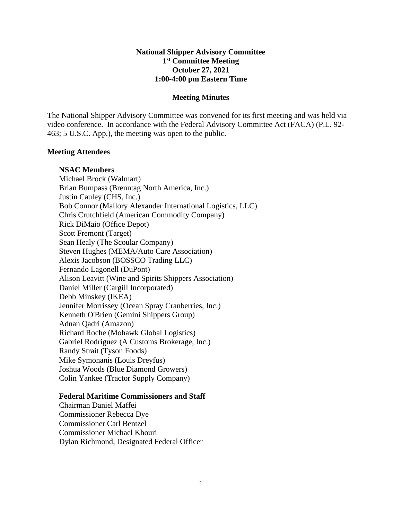# **National Shipper Advisory Committee 1st Committee Meeting October 27, 2021 1:00-4:00 pm Eastern Time**

#### **Meeting Minutes**

The National Shipper Advisory Committee was convened for its first meeting and was held via video conference. In accordance with the Federal Advisory Committee Act (FACA) (P.L. 92- 463; 5 U.S.C. App.), the meeting was open to the public.

### **Meeting Attendees**

### **NSAC Members**

Michael Brock (Walmart) Brian Bumpass (Brenntag North America, Inc.) Justin Cauley (CHS, Inc.) Bob Connor (Mallory Alexander International Logistics, LLC) Chris Crutchfield (American Commodity Company) Rick DiMaio (Office Depot) Scott Fremont (Target) Sean Healy (The Scoular Company) Steven Hughes (MEMA/Auto Care Association) Alexis Jacobson (BOSSCO Trading LLC) Fernando Lagonell (DuPont) Alison Leavitt (Wine and Spirits Shippers Association) Daniel Miller (Cargill Incorporated) Debb Minskey (IKEA) Jennifer Morrissey (Ocean Spray Cranberries, Inc.) Kenneth O'Brien (Gemini Shippers Group) Adnan Qadri (Amazon) Richard Roche (Mohawk Global Logistics) Gabriel Rodriguez (A Customs Brokerage, Inc.) Randy Strait (Tyson Foods) Mike Symonanis (Louis Dreyfus) Joshua Woods (Blue Diamond Growers) Colin Yankee (Tractor Supply Company)

#### **Federal Maritime Commissioners and Staff**

Chairman Daniel Maffei Commissioner Rebecca Dye Commissioner Carl Bentzel Commissioner Michael Khouri Dylan Richmond, Designated Federal Officer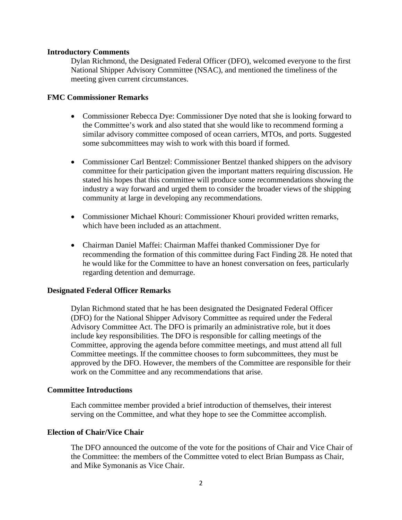### **Introductory Comments**

Dylan Richmond, the Designated Federal Officer (DFO), welcomed everyone to the first National Shipper Advisory Committee (NSAC), and mentioned the timeliness of the meeting given current circumstances.

### **FMC Commissioner Remarks**

- Commissioner Rebecca Dye: Commissioner Dye noted that she is looking forward to the Committee's work and also stated that she would like to recommend forming a similar advisory committee composed of ocean carriers, MTOs, and ports. Suggested some subcommittees may wish to work with this board if formed.
- Commissioner Carl Bentzel: Commissioner Bentzel thanked shippers on the advisory committee for their participation given the important matters requiring discussion. He stated his hopes that this committee will produce some recommendations showing the industry a way forward and urged them to consider the broader views of the shipping community at large in developing any recommendations.
- Commissioner Michael Khouri: Commissioner Khouri provided written remarks, which have been included as an attachment.
- Chairman Daniel Maffei: Chairman Maffei thanked Commissioner Dye for recommending the formation of this committee during Fact Finding 28. He noted that he would like for the Committee to have an honest conversation on fees, particularly regarding detention and demurrage.

## **Designated Federal Officer Remarks**

Dylan Richmond stated that he has been designated the Designated Federal Officer (DFO) for the National Shipper Advisory Committee as required under the Federal Advisory Committee Act. The DFO is primarily an administrative role, but it does include key responsibilities. The DFO is responsible for calling meetings of the Committee, approving the agenda before committee meetings, and must attend all full Committee meetings. If the committee chooses to form subcommittees, they must be approved by the DFO. However, the members of the Committee are responsible for their work on the Committee and any recommendations that arise.

#### **Committee Introductions**

Each committee member provided a brief introduction of themselves, their interest serving on the Committee, and what they hope to see the Committee accomplish.

#### **Election of Chair/Vice Chair**

The DFO announced the outcome of the vote for the positions of Chair and Vice Chair of the Committee: the members of the Committee voted to elect Brian Bumpass as Chair, and Mike Symonanis as Vice Chair.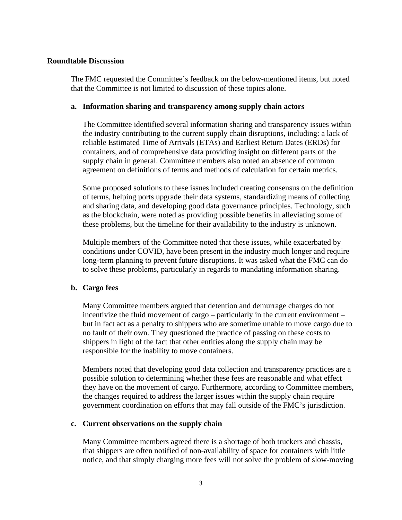#### **Roundtable Discussion**

The FMC requested the Committee's feedback on the below-mentioned items, but noted that the Committee is not limited to discussion of these topics alone.

### **a. Information sharing and transparency among supply chain actors**

The Committee identified several information sharing and transparency issues within the industry contributing to the current supply chain disruptions, including: a lack of reliable Estimated Time of Arrivals (ETAs) and Earliest Return Dates (ERDs) for containers, and of comprehensive data providing insight on different parts of the supply chain in general. Committee members also noted an absence of common agreement on definitions of terms and methods of calculation for certain metrics.

Some proposed solutions to these issues included creating consensus on the definition of terms, helping ports upgrade their data systems, standardizing means of collecting and sharing data, and developing good data governance principles. Technology, such as the blockchain, were noted as providing possible benefits in alleviating some of these problems, but the timeline for their availability to the industry is unknown.

Multiple members of the Committee noted that these issues, while exacerbated by conditions under COVID, have been present in the industry much longer and require long-term planning to prevent future disruptions. It was asked what the FMC can do to solve these problems, particularly in regards to mandating information sharing.

## **b. Cargo fees**

Many Committee members argued that detention and demurrage charges do not incentivize the fluid movement of cargo – particularly in the current environment – but in fact act as a penalty to shippers who are sometime unable to move cargo due to no fault of their own. They questioned the practice of passing on these costs to shippers in light of the fact that other entities along the supply chain may be responsible for the inability to move containers.

Members noted that developing good data collection and transparency practices are a possible solution to determining whether these fees are reasonable and what effect they have on the movement of cargo. Furthermore, according to Committee members, the changes required to address the larger issues within the supply chain require government coordination on efforts that may fall outside of the FMC's jurisdiction.

## **c. Current observations on the supply chain**

Many Committee members agreed there is a shortage of both truckers and chassis, that shippers are often notified of non-availability of space for containers with little notice, and that simply charging more fees will not solve the problem of slow-moving